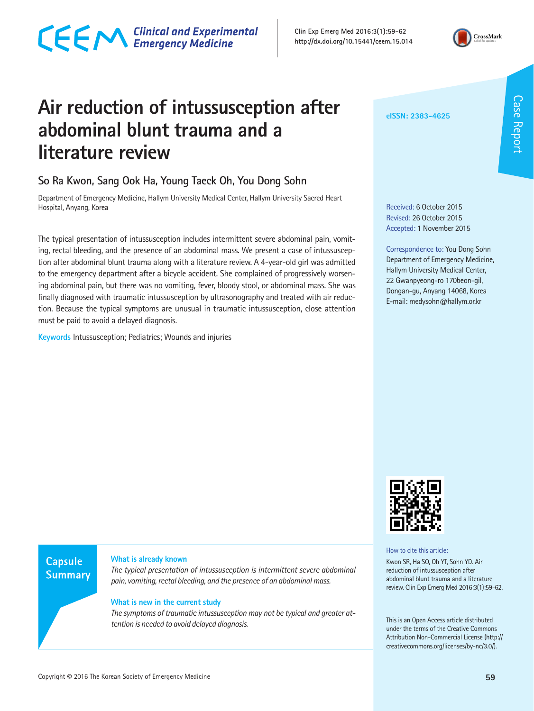# CECM Clinical and Experimental

**Clin Exp Emerg Med 2016;3(1):59-62 http://dx.doi.org/10.15441/ceem.15.014**



Case Report

**Case Report** 

# **Air reduction of intussusception after abdominal blunt trauma and a literature review**

### **So Ra Kwon, Sang Ook Ha, Young Taeck Oh, You Dong Sohn**

Department of Emergency Medicine, Hallym University Medical Center, Hallym University Sacred Heart Hospital, Anyang, Korea

The typical presentation of intussusception includes intermittent severe abdominal pain, vomiting, rectal bleeding, and the presence of an abdominal mass. We present a case of intussusception after abdominal blunt trauma along with a literature review. A 4-year-old girl was admitted to the emergency department after a bicycle accident. She complained of progressively worsening abdominal pain, but there was no vomiting, fever, bloody stool, or abdominal mass. She was finally diagnosed with traumatic intussusception by ultrasonography and treated with air reduction. Because the typical symptoms are unusual in traumatic intussusception, close attention must be paid to avoid a delayed diagnosis.

**Keywords** Intussusception; Pediatrics; Wounds and injuries

**eISSN: 2383-4625**

Received: 6 October 2015 Revised: 26 October 2015 Accepted: 1 November 2015

Correspondence to: You Dong Sohn Department of Emergency Medicine, Hallym University Medical Center, 22 Gwanpyeong-ro 170beon-gil, Dongan-gu, Anyang 14068, Korea E-mail: medysohn@hallym.or.kr



How to cite this article:

Kwon SR, Ha SO, Oh YT, Sohn YD. Air reduction of intussusception after abdominal blunt trauma and a literature review. Clin Exp Emerg Med 2016;3(1):59-62.

This is an Open Access article distributed under the terms of the Creative Commons Attribution Non-Commercial License (http:// creativecommons.org/licenses/by-nc/3.0/).

**Capsule Summary** 

#### **What is already known**

*The typical presentation of intussusception is intermittent severe abdominal pain, vomiting, rectal bleeding, and the presence of an abdominal mass.*

#### **What is new in the current study**

*The symptoms of traumatic intussusception may not be typical and greater attention is needed to avoid delayed diagnosis.*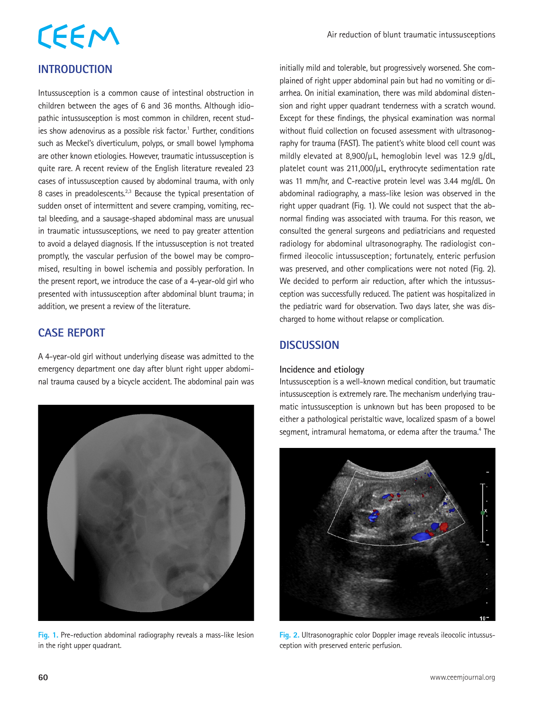## **INTRODUCTION**

Intussusception is a common cause of intestinal obstruction in children between the ages of 6 and 36 months. Although idiopathic intussusception is most common in children, recent studies show adenovirus as a possible risk factor.<sup>1</sup> Further, conditions such as Meckel's diverticulum, polyps, or small bowel lymphoma are other known etiologies. However, traumatic intussusception is quite rare. A recent review of the English literature revealed 23 cases of intussusception caused by abdominal trauma, with only 8 cases in preadolescents.<sup>2,3</sup> Because the typical presentation of sudden onset of intermittent and severe cramping, vomiting, rectal bleeding, and a sausage-shaped abdominal mass are unusual in traumatic intussusceptions, we need to pay greater attention to avoid a delayed diagnosis. If the intussusception is not treated promptly, the vascular perfusion of the bowel may be compromised, resulting in bowel ischemia and possibly perforation. In the present report, we introduce the case of a 4-year-old girl who presented with intussusception after abdominal blunt trauma; in addition, we present a review of the literature.

### **CASE REPORT**

A 4-year-old girl without underlying disease was admitted to the emergency department one day after blunt right upper abdominal trauma caused by a bicycle accident. The abdominal pain was



**Fig. 1.** Pre-reduction abdominal radiography reveals a mass-like lesion in the right upper quadrant.

initially mild and tolerable, but progressively worsened. She complained of right upper abdominal pain but had no vomiting or diarrhea. On initial examination, there was mild abdominal distension and right upper quadrant tenderness with a scratch wound. Except for these findings, the physical examination was normal without fluid collection on focused assessment with ultrasonography for trauma (FAST). The patient's white blood cell count was mildly elevated at  $8,900/\mu$ L, hemoglobin level was 12.9 g/dL, platelet count was 211,000/µL, erythrocyte sedimentation rate was 11 mm/hr, and C-reactive protein level was 3.44 mg/dL. On abdominal radiography, a mass-like lesion was observed in the right upper quadrant (Fig. 1). We could not suspect that the abnormal finding was associated with trauma. For this reason, we consulted the general surgeons and pediatricians and requested radiology for abdominal ultrasonography. The radiologist confirmed ileocolic intussusception; fortunately, enteric perfusion was preserved, and other complications were not noted (Fig. 2). We decided to perform air reduction, after which the intussusception was successfully reduced. The patient was hospitalized in the pediatric ward for observation. Two days later, she was discharged to home without relapse or complication.

### **DISCUSSION**

#### **Incidence and etiology**

Intussusception is a well-known medical condition, but traumatic intussusception is extremely rare. The mechanism underlying traumatic intussusception is unknown but has been proposed to be either a pathological peristaltic wave, localized spasm of a bowel segment, intramural hematoma, or edema after the trauma.<sup>4</sup> The



**Fig. 2.** Ultrasonographic color Doppler image reveals ileocolic intussusception with preserved enteric perfusion.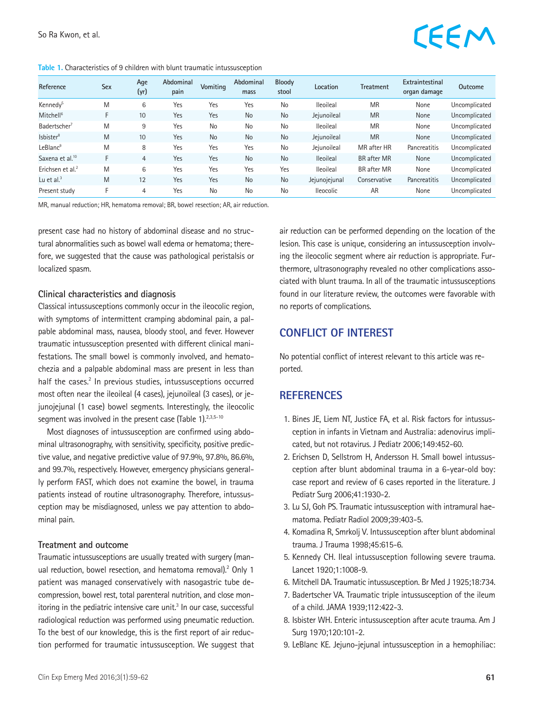#### **Table 1.** Characteristics of 9 children with blunt traumatic intussusception

# EEM

| Reference                    | <b>Sex</b> | Age<br>(yr)     | Abdominal<br>pain | Vomiting  | Abdominal<br>mass | Bloody<br>stool | Location         | Treatment          | Extraintestinal<br>organ damage | <b>Outcome</b> |
|------------------------------|------------|-----------------|-------------------|-----------|-------------------|-----------------|------------------|--------------------|---------------------------------|----------------|
| Kennedy <sup>5</sup>         | M          | 6               | Yes               | Yes       | Yes               | No              | <b>Ileoileal</b> | <b>MR</b>          | None                            | Uncomplicated  |
| Mitchell <sup>6</sup>        | F          | 10 <sup>°</sup> | Yes               | Yes       | <b>No</b>         | <b>No</b>       | Jejunoileal      | <b>MR</b>          | None                            | Uncomplicated  |
| Badertscher <sup>7</sup>     | M          | 9               | Yes               | No        | No                | No              | <b>Ileoileal</b> | <b>MR</b>          | None                            | Uncomplicated  |
| Isbister <sup>8</sup>        | M          | 10 <sup>°</sup> | Yes               | <b>No</b> | <b>No</b>         | <b>No</b>       | Jejunoileal      | <b>MR</b>          | None                            | Uncomplicated  |
| LeBlanc <sup>9</sup>         | M          | 8               | Yes               | Yes       | Yes               | No              | Jejunoileal      | MR after HR        | Pancreatitis                    | Uncomplicated  |
| Saxena et al. <sup>10</sup>  | F          | $\overline{4}$  | Yes               | Yes       | <b>No</b>         | <b>No</b>       | <b>Ileoileal</b> | <b>BR</b> after MR | None                            | Uncomplicated  |
| Erichsen et al. <sup>2</sup> | M          | 6               | Yes               | Yes       | Yes               | Yes             | <b>Ileoileal</b> | <b>BR</b> after MR | None                            | Uncomplicated  |
| Lu et al. $3$                | M          | 12              | Yes               | Yes       | <b>No</b>         | <b>No</b>       | Jejunojejunal    | Conservative       | Pancreatitis                    | Uncomplicated  |
| Present study                |            | 4               | Yes               | <b>No</b> | No                | No              | <b>Ileocolic</b> | AR                 | None                            | Uncomplicated  |

MR, manual reduction; HR, hematoma removal; BR, bowel resection; AR, air reduction.

present case had no history of abdominal disease and no structural abnormalities such as bowel wall edema or hematoma; therefore, we suggested that the cause was pathological peristalsis or localized spasm.

#### **Clinical characteristics and diagnosis**

Classical intussusceptions commonly occur in the ileocolic region, with symptoms of intermittent cramping abdominal pain, a palpable abdominal mass, nausea, bloody stool, and fever. However traumatic intussusception presented with different clinical manifestations. The small bowel is commonly involved, and hematochezia and a palpable abdominal mass are present in less than half the cases.<sup>2</sup> In previous studies, intussusceptions occurred most often near the ileoileal (4 cases), jejunoileal (3 cases), or jejunojejunal (1 case) bowel segments. Interestingly, the ileocolic segment was involved in the present case (Table 1).<sup>2,3,5-10</sup>

Most diagnoses of intussusception are confirmed using abdominal ultrasonography, with sensitivity, specificity, positive predictive value, and negative predictive value of 97.9%, 97.8%, 86.6%, and 99.7%, respectively. However, emergency physicians generally perform FAST, which does not examine the bowel, in trauma patients instead of routine ultrasonography. Therefore, intussusception may be misdiagnosed, unless we pay attention to abdominal pain.

#### **Treatment and outcome**

Traumatic intussusceptions are usually treated with surgery (manual reduction, bowel resection, and hematoma removal).<sup>2</sup> Only 1 patient was managed conservatively with nasogastric tube decompression, bowel rest, total parenteral nutrition, and close monitoring in the pediatric intensive care unit.<sup>3</sup> In our case, successful radiological reduction was performed using pneumatic reduction. To the best of our knowledge, this is the first report of air reduction performed for traumatic intussusception. We suggest that air reduction can be performed depending on the location of the lesion. This case is unique, considering an intussusception involving the ileocolic segment where air reduction is appropriate. Furthermore, ultrasonography revealed no other complications associated with blunt trauma. In all of the traumatic intussusceptions found in our literature review, the outcomes were favorable with no reports of complications.

#### **CONFLICT OF INTEREST**

No potential conflict of interest relevant to this article was reported.

#### **REFERENCES**

- 1. Bines JE, Liem NT, Justice FA, et al. Risk factors for intussusception in infants in Vietnam and Australia: adenovirus implicated, but not rotavirus. J Pediatr 2006;149:452-60.
- 2. Erichsen D, Sellstrom H, Andersson H. Small bowel intussusception after blunt abdominal trauma in a 6-year-old boy: case report and review of 6 cases reported in the literature. J Pediatr Surg 2006;41:1930-2.
- 3. Lu SJ, Goh PS. Traumatic intussusception with intramural haematoma. Pediatr Radiol 2009;39:403-5.
- 4. Komadina R, Smrkolj V. Intussusception after blunt abdominal trauma. J Trauma 1998;45:615-6.
- 5. Kennedy CH. Ileal intussusception following severe trauma. Lancet 1920;1:1008-9.
- 6. Mitchell DA. Traumatic intussusception. Br Med J 1925;18:734.
- 7. Badertscher VA. Traumatic triple intussusception of the ileum of a child. JAMA 1939;112:422-3.
- 8. Isbister WH. Enteric intussusception after acute trauma. Am J Surg 1970;120:101-2.
- 9. LeBlanc KE. Jejuno-jejunal intussusception in a hemophiliac: